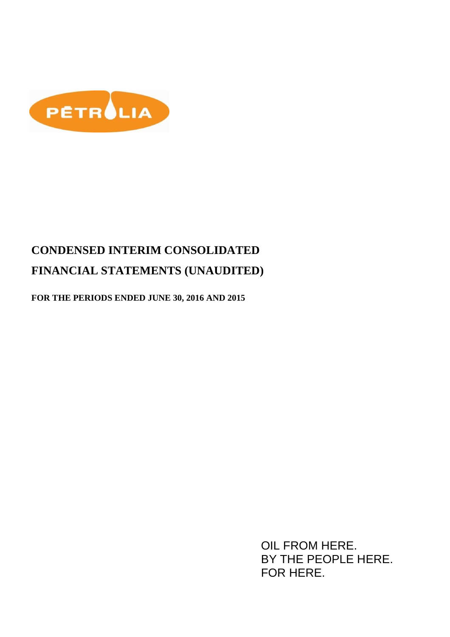

**FOR THE PERIODS ENDED JUNE 30, 2016 AND 2015** 

OIL FROM HERE. BY THE PEOPLE HERE. FOR HERE.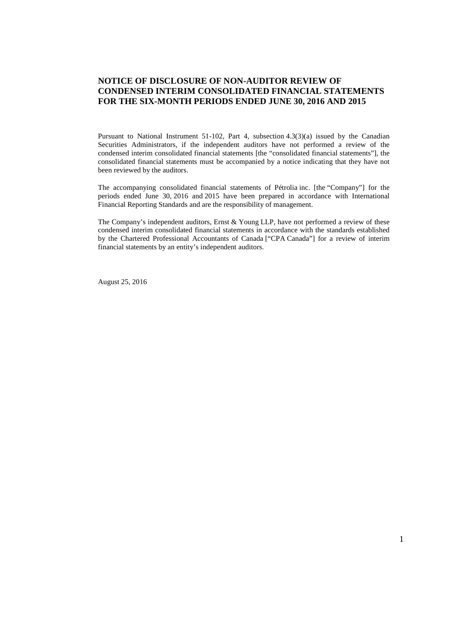#### **NOTICE OF DISCLOSURE OF NON-AUDITOR REVIEW OF CONDENSED INTERIM CONSOLIDATED FINANCIAL STATEMENTS FOR THE SIX-MONTH PERIODS ENDED JUNE 30, 2016 AND 2015**

Pursuant to National Instrument 51-102, Part 4, subsection 4.3(3)(a) issued by the Canadian Securities Administrators, if the independent auditors have not performed a review of the condensed interim consolidated financial statements [the "consolidated financial statements"], the consolidated financial statements must be accompanied by a notice indicating that they have not been reviewed by the auditors.

The accompanying consolidated financial statements of Pétrolia inc. [the "Company"] for the periods ended June 30, 2016 and 2015 have been prepared in accordance with International Financial Reporting Standards and are the responsibility of management.

The Company's independent auditors, Ernst  $&$  Young LLP, have not performed a review of these condensed interim consolidated financial statements in accordance with the standards established by the Chartered Professional Accountants of Canada ["CPA Canada"] for a review of interim financial statements by an entity's independent auditors.

August 25, 2016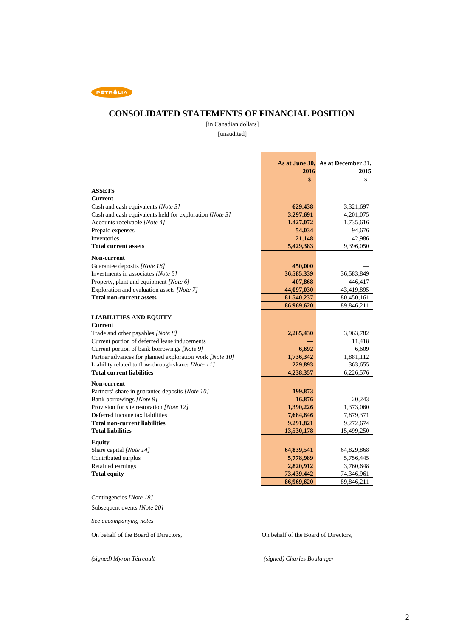

### **CONSOLIDATED STATEMENTS OF FINANCIAL POSITION**

 [unaudited] [in Canadian dollars]

Ē.

L,

| <b>ASSETS</b><br><b>Current</b><br>629,438<br>Cash and cash equivalents [Note 3]<br>3,321,697<br>Cash and cash equivalents held for exploration [Note 3]<br>3,297,691<br>4,201,075<br>Accounts receivable [Note 4]<br>1,427,072<br>1,735,616<br>Prepaid expenses<br>54,034<br>94,676<br>Inventories<br>21,148<br>42,986<br><b>Total current assets</b><br>5,429,383<br>9,396,050<br>Non-current<br>Guarantee deposits [Note 18]<br>450,000<br>Investments in associates [Note 5]<br>36,585,339<br>36,583,849<br>Property, plant and equipment [Note 6]<br>407,868<br>446,417<br>Exploration and evaluation assets [Note 7]<br>44,097,030<br>43,419,895<br><b>Total non-current assets</b><br>81,540,237<br>80,450,161<br>86,969,620<br>89,846,211<br><b>Current</b><br>Trade and other payables [Note 8]<br>2,265,430<br>3,963,782<br>Current portion of deferred lease inducements<br>11,418<br>Current portion of bank borrowings [Note 9]<br>6,692<br>6,609<br>Partner advances for planned exploration work [Note 10]<br>1,736,342<br>1,881,112<br>Liability related to flow-through shares [Note 11]<br>229,893<br>363,655<br><b>Total current liabilities</b><br>4,238,357<br>6,226,576<br>Non-current<br>Partners' share in guarantee deposits [Note 10]<br>199,873<br>Bank borrowings [Note 9]<br>16,876<br>20,243<br>Provision for site restoration [Note 12]<br>1,390,226<br>1,373,060<br>Deferred income tax liabilities<br>7,684,846<br>7,879,371<br><b>Total non-current liabilities</b><br>9,272,674<br>9,291,821<br><b>Total liabilities</b><br>13,530,178<br>15,499,250<br><b>Equity</b><br>Share capital [Note 14]<br>64,839,541<br>64,829,868<br>Contributed surplus<br>5,778,989<br>5,756,445<br>Retained earnings<br>2,820,912<br>3,760,648<br><b>Total equity</b><br>73,439,442<br>74,346,961<br>89,846,211<br>86,969,620<br>Contingencies [Note 18]<br>Subsequent events [Note 20] |                               | 2016 | As at June 30, As at December 31,<br>2015 |
|----------------------------------------------------------------------------------------------------------------------------------------------------------------------------------------------------------------------------------------------------------------------------------------------------------------------------------------------------------------------------------------------------------------------------------------------------------------------------------------------------------------------------------------------------------------------------------------------------------------------------------------------------------------------------------------------------------------------------------------------------------------------------------------------------------------------------------------------------------------------------------------------------------------------------------------------------------------------------------------------------------------------------------------------------------------------------------------------------------------------------------------------------------------------------------------------------------------------------------------------------------------------------------------------------------------------------------------------------------------------------------------------------------------------------------------------------------------------------------------------------------------------------------------------------------------------------------------------------------------------------------------------------------------------------------------------------------------------------------------------------------------------------------------------------------------------------------------------------------------------------------------------------------|-------------------------------|------|-------------------------------------------|
|                                                                                                                                                                                                                                                                                                                                                                                                                                                                                                                                                                                                                                                                                                                                                                                                                                                                                                                                                                                                                                                                                                                                                                                                                                                                                                                                                                                                                                                                                                                                                                                                                                                                                                                                                                                                                                                                                                          |                               | \$   | \$                                        |
|                                                                                                                                                                                                                                                                                                                                                                                                                                                                                                                                                                                                                                                                                                                                                                                                                                                                                                                                                                                                                                                                                                                                                                                                                                                                                                                                                                                                                                                                                                                                                                                                                                                                                                                                                                                                                                                                                                          |                               |      |                                           |
|                                                                                                                                                                                                                                                                                                                                                                                                                                                                                                                                                                                                                                                                                                                                                                                                                                                                                                                                                                                                                                                                                                                                                                                                                                                                                                                                                                                                                                                                                                                                                                                                                                                                                                                                                                                                                                                                                                          |                               |      |                                           |
|                                                                                                                                                                                                                                                                                                                                                                                                                                                                                                                                                                                                                                                                                                                                                                                                                                                                                                                                                                                                                                                                                                                                                                                                                                                                                                                                                                                                                                                                                                                                                                                                                                                                                                                                                                                                                                                                                                          |                               |      |                                           |
|                                                                                                                                                                                                                                                                                                                                                                                                                                                                                                                                                                                                                                                                                                                                                                                                                                                                                                                                                                                                                                                                                                                                                                                                                                                                                                                                                                                                                                                                                                                                                                                                                                                                                                                                                                                                                                                                                                          |                               |      |                                           |
|                                                                                                                                                                                                                                                                                                                                                                                                                                                                                                                                                                                                                                                                                                                                                                                                                                                                                                                                                                                                                                                                                                                                                                                                                                                                                                                                                                                                                                                                                                                                                                                                                                                                                                                                                                                                                                                                                                          |                               |      |                                           |
|                                                                                                                                                                                                                                                                                                                                                                                                                                                                                                                                                                                                                                                                                                                                                                                                                                                                                                                                                                                                                                                                                                                                                                                                                                                                                                                                                                                                                                                                                                                                                                                                                                                                                                                                                                                                                                                                                                          |                               |      |                                           |
|                                                                                                                                                                                                                                                                                                                                                                                                                                                                                                                                                                                                                                                                                                                                                                                                                                                                                                                                                                                                                                                                                                                                                                                                                                                                                                                                                                                                                                                                                                                                                                                                                                                                                                                                                                                                                                                                                                          |                               |      |                                           |
|                                                                                                                                                                                                                                                                                                                                                                                                                                                                                                                                                                                                                                                                                                                                                                                                                                                                                                                                                                                                                                                                                                                                                                                                                                                                                                                                                                                                                                                                                                                                                                                                                                                                                                                                                                                                                                                                                                          |                               |      |                                           |
|                                                                                                                                                                                                                                                                                                                                                                                                                                                                                                                                                                                                                                                                                                                                                                                                                                                                                                                                                                                                                                                                                                                                                                                                                                                                                                                                                                                                                                                                                                                                                                                                                                                                                                                                                                                                                                                                                                          |                               |      |                                           |
|                                                                                                                                                                                                                                                                                                                                                                                                                                                                                                                                                                                                                                                                                                                                                                                                                                                                                                                                                                                                                                                                                                                                                                                                                                                                                                                                                                                                                                                                                                                                                                                                                                                                                                                                                                                                                                                                                                          |                               |      |                                           |
|                                                                                                                                                                                                                                                                                                                                                                                                                                                                                                                                                                                                                                                                                                                                                                                                                                                                                                                                                                                                                                                                                                                                                                                                                                                                                                                                                                                                                                                                                                                                                                                                                                                                                                                                                                                                                                                                                                          |                               |      |                                           |
|                                                                                                                                                                                                                                                                                                                                                                                                                                                                                                                                                                                                                                                                                                                                                                                                                                                                                                                                                                                                                                                                                                                                                                                                                                                                                                                                                                                                                                                                                                                                                                                                                                                                                                                                                                                                                                                                                                          |                               |      |                                           |
|                                                                                                                                                                                                                                                                                                                                                                                                                                                                                                                                                                                                                                                                                                                                                                                                                                                                                                                                                                                                                                                                                                                                                                                                                                                                                                                                                                                                                                                                                                                                                                                                                                                                                                                                                                                                                                                                                                          |                               |      |                                           |
|                                                                                                                                                                                                                                                                                                                                                                                                                                                                                                                                                                                                                                                                                                                                                                                                                                                                                                                                                                                                                                                                                                                                                                                                                                                                                                                                                                                                                                                                                                                                                                                                                                                                                                                                                                                                                                                                                                          |                               |      |                                           |
|                                                                                                                                                                                                                                                                                                                                                                                                                                                                                                                                                                                                                                                                                                                                                                                                                                                                                                                                                                                                                                                                                                                                                                                                                                                                                                                                                                                                                                                                                                                                                                                                                                                                                                                                                                                                                                                                                                          |                               |      |                                           |
|                                                                                                                                                                                                                                                                                                                                                                                                                                                                                                                                                                                                                                                                                                                                                                                                                                                                                                                                                                                                                                                                                                                                                                                                                                                                                                                                                                                                                                                                                                                                                                                                                                                                                                                                                                                                                                                                                                          | <b>LIABILITIES AND EQUITY</b> |      |                                           |
|                                                                                                                                                                                                                                                                                                                                                                                                                                                                                                                                                                                                                                                                                                                                                                                                                                                                                                                                                                                                                                                                                                                                                                                                                                                                                                                                                                                                                                                                                                                                                                                                                                                                                                                                                                                                                                                                                                          |                               |      |                                           |
|                                                                                                                                                                                                                                                                                                                                                                                                                                                                                                                                                                                                                                                                                                                                                                                                                                                                                                                                                                                                                                                                                                                                                                                                                                                                                                                                                                                                                                                                                                                                                                                                                                                                                                                                                                                                                                                                                                          |                               |      |                                           |
|                                                                                                                                                                                                                                                                                                                                                                                                                                                                                                                                                                                                                                                                                                                                                                                                                                                                                                                                                                                                                                                                                                                                                                                                                                                                                                                                                                                                                                                                                                                                                                                                                                                                                                                                                                                                                                                                                                          |                               |      |                                           |
|                                                                                                                                                                                                                                                                                                                                                                                                                                                                                                                                                                                                                                                                                                                                                                                                                                                                                                                                                                                                                                                                                                                                                                                                                                                                                                                                                                                                                                                                                                                                                                                                                                                                                                                                                                                                                                                                                                          |                               |      |                                           |
|                                                                                                                                                                                                                                                                                                                                                                                                                                                                                                                                                                                                                                                                                                                                                                                                                                                                                                                                                                                                                                                                                                                                                                                                                                                                                                                                                                                                                                                                                                                                                                                                                                                                                                                                                                                                                                                                                                          |                               |      |                                           |
|                                                                                                                                                                                                                                                                                                                                                                                                                                                                                                                                                                                                                                                                                                                                                                                                                                                                                                                                                                                                                                                                                                                                                                                                                                                                                                                                                                                                                                                                                                                                                                                                                                                                                                                                                                                                                                                                                                          |                               |      |                                           |
|                                                                                                                                                                                                                                                                                                                                                                                                                                                                                                                                                                                                                                                                                                                                                                                                                                                                                                                                                                                                                                                                                                                                                                                                                                                                                                                                                                                                                                                                                                                                                                                                                                                                                                                                                                                                                                                                                                          |                               |      |                                           |
|                                                                                                                                                                                                                                                                                                                                                                                                                                                                                                                                                                                                                                                                                                                                                                                                                                                                                                                                                                                                                                                                                                                                                                                                                                                                                                                                                                                                                                                                                                                                                                                                                                                                                                                                                                                                                                                                                                          |                               |      |                                           |
|                                                                                                                                                                                                                                                                                                                                                                                                                                                                                                                                                                                                                                                                                                                                                                                                                                                                                                                                                                                                                                                                                                                                                                                                                                                                                                                                                                                                                                                                                                                                                                                                                                                                                                                                                                                                                                                                                                          |                               |      |                                           |
|                                                                                                                                                                                                                                                                                                                                                                                                                                                                                                                                                                                                                                                                                                                                                                                                                                                                                                                                                                                                                                                                                                                                                                                                                                                                                                                                                                                                                                                                                                                                                                                                                                                                                                                                                                                                                                                                                                          |                               |      |                                           |
|                                                                                                                                                                                                                                                                                                                                                                                                                                                                                                                                                                                                                                                                                                                                                                                                                                                                                                                                                                                                                                                                                                                                                                                                                                                                                                                                                                                                                                                                                                                                                                                                                                                                                                                                                                                                                                                                                                          |                               |      |                                           |
|                                                                                                                                                                                                                                                                                                                                                                                                                                                                                                                                                                                                                                                                                                                                                                                                                                                                                                                                                                                                                                                                                                                                                                                                                                                                                                                                                                                                                                                                                                                                                                                                                                                                                                                                                                                                                                                                                                          |                               |      |                                           |
|                                                                                                                                                                                                                                                                                                                                                                                                                                                                                                                                                                                                                                                                                                                                                                                                                                                                                                                                                                                                                                                                                                                                                                                                                                                                                                                                                                                                                                                                                                                                                                                                                                                                                                                                                                                                                                                                                                          |                               |      |                                           |
|                                                                                                                                                                                                                                                                                                                                                                                                                                                                                                                                                                                                                                                                                                                                                                                                                                                                                                                                                                                                                                                                                                                                                                                                                                                                                                                                                                                                                                                                                                                                                                                                                                                                                                                                                                                                                                                                                                          |                               |      |                                           |
|                                                                                                                                                                                                                                                                                                                                                                                                                                                                                                                                                                                                                                                                                                                                                                                                                                                                                                                                                                                                                                                                                                                                                                                                                                                                                                                                                                                                                                                                                                                                                                                                                                                                                                                                                                                                                                                                                                          |                               |      |                                           |
|                                                                                                                                                                                                                                                                                                                                                                                                                                                                                                                                                                                                                                                                                                                                                                                                                                                                                                                                                                                                                                                                                                                                                                                                                                                                                                                                                                                                                                                                                                                                                                                                                                                                                                                                                                                                                                                                                                          |                               |      |                                           |
|                                                                                                                                                                                                                                                                                                                                                                                                                                                                                                                                                                                                                                                                                                                                                                                                                                                                                                                                                                                                                                                                                                                                                                                                                                                                                                                                                                                                                                                                                                                                                                                                                                                                                                                                                                                                                                                                                                          |                               |      |                                           |
|                                                                                                                                                                                                                                                                                                                                                                                                                                                                                                                                                                                                                                                                                                                                                                                                                                                                                                                                                                                                                                                                                                                                                                                                                                                                                                                                                                                                                                                                                                                                                                                                                                                                                                                                                                                                                                                                                                          |                               |      |                                           |
|                                                                                                                                                                                                                                                                                                                                                                                                                                                                                                                                                                                                                                                                                                                                                                                                                                                                                                                                                                                                                                                                                                                                                                                                                                                                                                                                                                                                                                                                                                                                                                                                                                                                                                                                                                                                                                                                                                          |                               |      |                                           |
|                                                                                                                                                                                                                                                                                                                                                                                                                                                                                                                                                                                                                                                                                                                                                                                                                                                                                                                                                                                                                                                                                                                                                                                                                                                                                                                                                                                                                                                                                                                                                                                                                                                                                                                                                                                                                                                                                                          |                               |      |                                           |
|                                                                                                                                                                                                                                                                                                                                                                                                                                                                                                                                                                                                                                                                                                                                                                                                                                                                                                                                                                                                                                                                                                                                                                                                                                                                                                                                                                                                                                                                                                                                                                                                                                                                                                                                                                                                                                                                                                          |                               |      |                                           |
|                                                                                                                                                                                                                                                                                                                                                                                                                                                                                                                                                                                                                                                                                                                                                                                                                                                                                                                                                                                                                                                                                                                                                                                                                                                                                                                                                                                                                                                                                                                                                                                                                                                                                                                                                                                                                                                                                                          |                               |      |                                           |

*See accompanying notes* 

On behalf of the Board of Directors, On behalf of the Board of Directors,

*(signed) Myron Tétreault (signed) Charles Boulanger*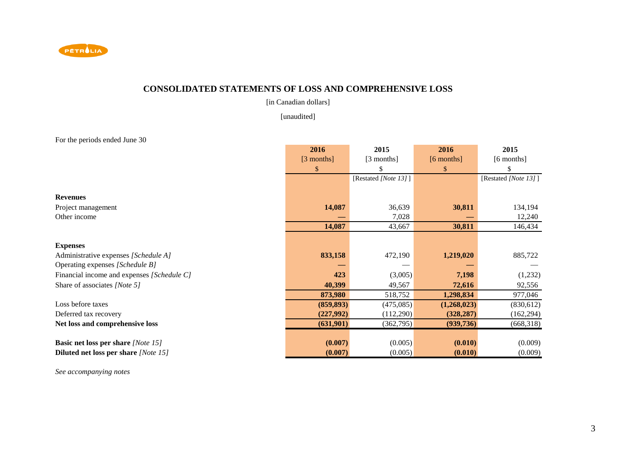

### **CONSOLIDATED STATEMENTS OF LOSS AND COMPREHENSIVE LOSS**

[in Canadian dollars]

[unaudited]

For the periods ended June 30

|                                             | 2016         | 2015                 | 2016          | 2015                 |
|---------------------------------------------|--------------|----------------------|---------------|----------------------|
|                                             | $[3$ months] | [3 months]           | $[6$ months]  | $[6$ months]         |
|                                             | \$           |                      | $\mathcal{S}$ |                      |
|                                             |              | [Restated [Note 13]] |               | [Restated [Note 13]] |
|                                             |              |                      |               |                      |
| <b>Revenues</b>                             |              |                      |               |                      |
| Project management                          | 14,087       | 36,639               | 30,811        | 134,194              |
| Other income                                |              | 7,028                |               | 12,240               |
|                                             | 14,087       | 43,667               | 30,811        | 146,434              |
|                                             |              |                      |               |                      |
| <b>Expenses</b>                             |              |                      |               |                      |
| Administrative expenses [Schedule A]        | 833,158      | 472,190              | 1,219,020     | 885,722              |
| Operating expenses [Schedule B]             |              |                      |               |                      |
| Financial income and expenses [Schedule C]  | 423          | (3,005)              | 7,198         | (1,232)              |
| Share of associates [Note 5]                | 40,399       | 49,567               | 72,616        | 92,556               |
|                                             | 873,980      | 518,752              | 1,298,834     | 977,046              |
| Loss before taxes                           | (859, 893)   | (475,085)            | (1,268,023)   | (830, 612)           |
| Deferred tax recovery                       | (227,992)    | (112,290)            | (328, 287)    | (162, 294)           |
| Net loss and comprehensive loss             | (631,901)    | (362, 795)           | (939, 736)    | (668,318)            |
|                                             |              |                      |               |                      |
| <b>Basic net loss per share [Note 15]</b>   | (0.007)      | (0.005)              | (0.010)       | (0.009)              |
| <b>Diluted net loss per share [Note 15]</b> | (0.007)      | (0.005)              | (0.010)       | (0.009)              |

*See accompanying notes*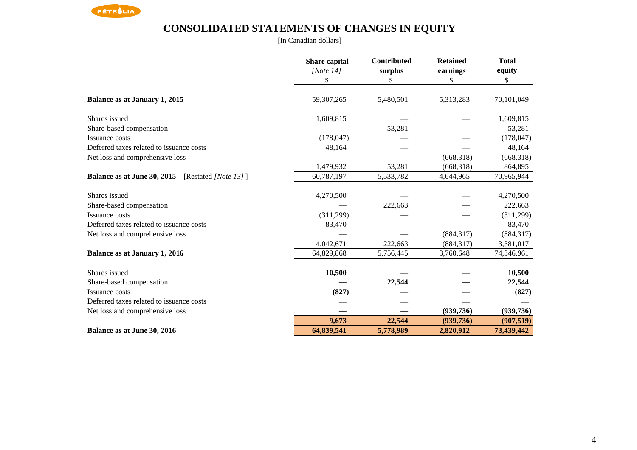

# **CONSOLIDATED STATEMENTS OF CHANGES IN EQUITY**

[in Canadian dollars]

|                                                                   | Share capital | Contributed | <b>Retained</b> | <b>Total</b> |
|-------------------------------------------------------------------|---------------|-------------|-----------------|--------------|
|                                                                   | [Note $14$ ]  | surplus     | earnings        | equity       |
|                                                                   | \$            | \$          | \$              | \$           |
| Balance as at January 1, 2015                                     | 59,307,265    | 5,480,501   | 5,313,283       | 70,101,049   |
| Shares issued                                                     | 1,609,815     |             |                 | 1,609,815    |
| Share-based compensation                                          |               | 53,281      |                 | 53,281       |
| Issuance costs                                                    | (178, 047)    |             |                 | (178, 047)   |
| Deferred taxes related to issuance costs                          | 48,164        |             |                 | 48,164       |
| Net loss and comprehensive loss                                   |               |             | (668, 318)      | (668,318)    |
|                                                                   | 1,479,932     | 53,281      | (668, 318)      | 864,895      |
| <b>Balance as at June 30, 2015</b> – [Restated <i>[Note 13]</i> ] | 60,787,197    | 5,533,782   | 4,644,965       | 70,965,944   |
| Shares issued                                                     | 4,270,500     |             |                 | 4,270,500    |
| Share-based compensation                                          |               | 222,663     |                 | 222,663      |
| Issuance costs                                                    | (311,299)     |             |                 | (311,299)    |
| Deferred taxes related to issuance costs                          | 83,470        |             |                 | 83,470       |
| Net loss and comprehensive loss                                   |               |             | (884, 317)      | (884, 317)   |
|                                                                   | 4,042,671     | 222,663     | (884, 317)      | 3,381,017    |
| <b>Balance as at January 1, 2016</b>                              | 64,829,868    | 5,756,445   | 3,760,648       | 74,346,961   |
| Shares issued                                                     | 10,500        |             |                 | 10,500       |
| Share-based compensation                                          |               | 22,544      |                 | 22,544       |
| Issuance costs                                                    | (827)         |             |                 | (827)        |
| Deferred taxes related to issuance costs                          |               |             |                 |              |
| Net loss and comprehensive loss                                   |               |             | (939, 736)      | (939, 736)   |
|                                                                   | 9,673         | 22,544      | (939, 736)      | (907, 519)   |
| Balance as at June 30, 2016                                       | 64,839,541    | 5,778,989   | 2,820,912       | 73,439,442   |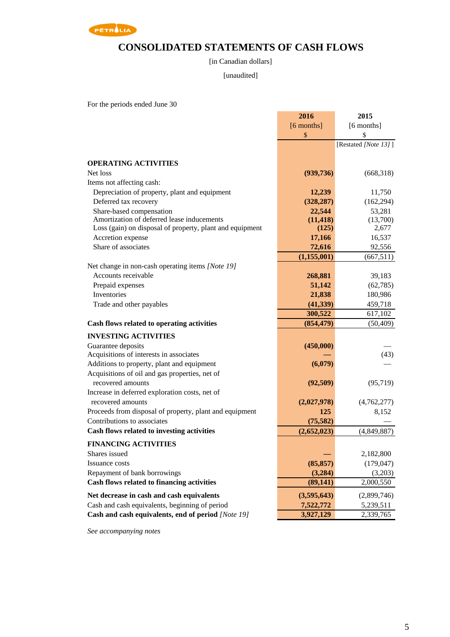

# **CONSOLIDATED STATEMENTS OF CASH FLOWS**

#### [in Canadian dollars]

#### [unaudited]

For the periods ended June 30

|                                                          | 2016          | 2015                 |
|----------------------------------------------------------|---------------|----------------------|
|                                                          | [6 months]    | [6 months]           |
|                                                          | $\mathbb{S}$  | \$                   |
|                                                          |               | [Restated [Note 13]] |
|                                                          |               |                      |
| <b>OPERATING ACTIVITIES</b>                              |               |                      |
| Net loss                                                 | (939, 736)    | (668,318)            |
| Items not affecting cash:                                |               |                      |
| Depreciation of property, plant and equipment            | 12,239        | 11,750               |
| Deferred tax recovery                                    | (328, 287)    | (162, 294)           |
| Share-based compensation                                 | 22,544        | 53,281               |
| Amortization of deferred lease inducements               | (11, 418)     | (13,700)             |
| Loss (gain) on disposal of property, plant and equipment | (125)         | 2,677                |
| Accretion expense                                        | 17,166        | 16,537               |
| Share of associates                                      | 72,616        | 92,556               |
|                                                          | (1, 155, 001) | (667, 511)           |
| Net change in non-cash operating items [Note 19]         |               |                      |
| Accounts receivable                                      | 268,881       | 39,183               |
| Prepaid expenses                                         | 51,142        | (62, 785)            |
| Inventories                                              | 21,838        | 180,986              |
| Trade and other payables                                 | (41, 339)     | 459,718              |
|                                                          | 300,522       | 617,102              |
| Cash flows related to operating activities               | (854, 479)    | (50, 409)            |
| <b>INVESTING ACTIVITIES</b>                              |               |                      |
| Guarantee deposits                                       | (450,000)     |                      |
| Acquisitions of interests in associates                  |               | (43)                 |
| Additions to property, plant and equipment               | (6,079)       |                      |
| Acquisitions of oil and gas properties, net of           |               |                      |
| recovered amounts                                        | (92, 509)     | (95, 719)            |
| Increase in deferred exploration costs, net of           |               |                      |
| recovered amounts                                        | (2,027,978)   | (4,762,277)          |
| Proceeds from disposal of property, plant and equipment  | 125           | 8,152                |
| Contributions to associates                              | (75, 582)     |                      |
| Cash flows related to investing activities               | (2,652,023)   | (4,849,887)          |
| <b>FINANCING ACTIVITIES</b>                              |               |                      |
| Shares issued                                            |               | 2,182,800            |
| Issuance costs                                           | (85, 857)     | (179, 047)           |
| Repayment of bank borrowings                             | (3,284)       | (3,203)              |
| Cash flows related to financing activities               | (89, 141)     | 2,000,550            |
|                                                          |               |                      |
| Net decrease in cash and cash equivalents                | (3,595,643)   | (2,899,746)          |
| Cash and cash equivalents, beginning of period           | 7,522,772     | 5,239,511            |
| Cash and cash equivalents, end of period [Note 19]       | 3,927,129     | 2,339,765            |

*See accompanying notes*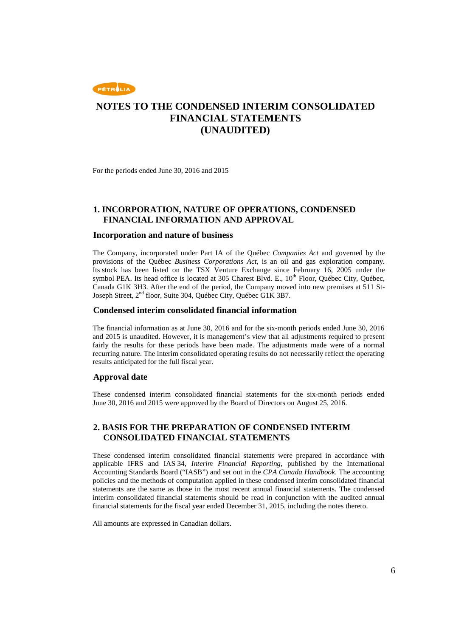

For the periods ended June 30, 2016 and 2015

#### **1. INCORPORATION, NATURE OF OPERATIONS, CONDENSED FINANCIAL INFORMATION AND APPROVAL**

#### **Incorporation and nature of business**

The Company, incorporated under Part IA of the Québec *Companies Act* and governed by the provisions of the Québec *Business Corporations Act*, is an oil and gas exploration company. Its stock has been listed on the TSX Venture Exchange since February 16, 2005 under the symbol PEA. Its head office is located at 305 Charest Blvd. E.,  $10<sup>th</sup>$  Floor, Québec City, Québec, Canada G1K 3H3. After the end of the period, the Company moved into new premises at 511 St-Joseph Street, 2<sup>nd</sup> floor, Suite 304, Québec City, Québec G1K 3B7.

#### **Condensed interim consolidated financial information**

The financial information as at June 30, 2016 and for the six-month periods ended June 30, 2016 and 2015 is unaudited. However, it is management's view that all adjustments required to present fairly the results for these periods have been made. The adjustments made were of a normal recurring nature. The interim consolidated operating results do not necessarily reflect the operating results anticipated for the full fiscal year.

#### **Approval date**

These condensed interim consolidated financial statements for the six-month periods ended June 30, 2016 and 2015 were approved by the Board of Directors on August 25, 2016.

#### **2. BASIS FOR THE PREPARATION OF CONDENSED INTERIM CONSOLIDATED FINANCIAL STATEMENTS**

These condensed interim consolidated financial statements were prepared in accordance with applicable IFRS and IAS 34, *Interim Financial Reporting*, published by the International Accounting Standards Board ("IASB") and set out in the *CPA Canada Handbook*. The accounting policies and the methods of computation applied in these condensed interim consolidated financial statements are the same as those in the most recent annual financial statements. The condensed interim consolidated financial statements should be read in conjunction with the audited annual financial statements for the fiscal year ended December 31, 2015, including the notes thereto.

All amounts are expressed in Canadian dollars.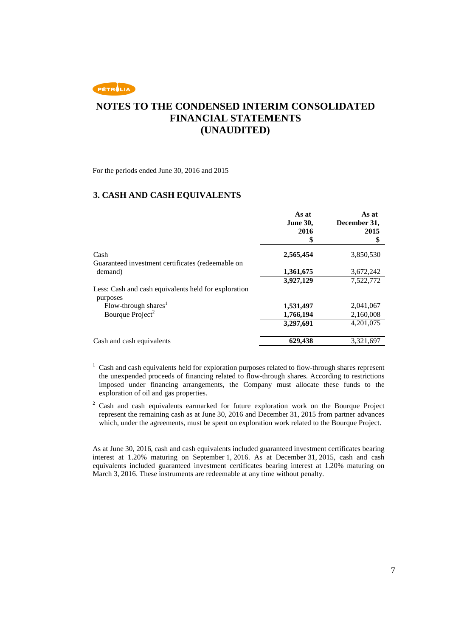

For the periods ended June 30, 2016 and 2015

#### **3. CASH AND CASH EQUIVALENTS**

|                                                                  | As at<br><b>June 30,</b><br>2016<br>5 | As at<br>December 31,<br>2015<br>\$ |
|------------------------------------------------------------------|---------------------------------------|-------------------------------------|
| Cash                                                             | 2,565,454                             | 3,850,530                           |
| Guaranteed investment certificates (redeemable on                |                                       |                                     |
| demand)                                                          | 1,361,675                             | 3,672,242                           |
|                                                                  | 3,927,129                             | 7,522,772                           |
| Less: Cash and cash equivalents held for exploration<br>purposes |                                       |                                     |
| Flow-through shares <sup>1</sup>                                 | 1,531,497                             | 2,041,067                           |
| Bourque Project <sup>2</sup>                                     | 1,766,194                             | 2,160,008                           |
|                                                                  | 3,297,691                             | 4,201,075                           |
| Cash and cash equivalents                                        | 629,438                               | 3,321,697                           |

<sup>1</sup> Cash and cash equivalents held for exploration purposes related to flow-through shares represent the unexpended proceeds of financing related to flow-through shares. According to restrictions imposed under financing arrangements, the Company must allocate these funds to the exploration of oil and gas properties.

2 Cash and cash equivalents earmarked for future exploration work on the Bourque Project represent the remaining cash as at June 30, 2016 and December 31, 2015 from partner advances which, under the agreements, must be spent on exploration work related to the Bourque Project.

As at June 30, 2016, cash and cash equivalents included guaranteed investment certificates bearing interest at 1.20% maturing on September 1, 2016. As at December 31, 2015, cash and cash equivalents included guaranteed investment certificates bearing interest at 1.20% maturing on March 3, 2016. These instruments are redeemable at any time without penalty.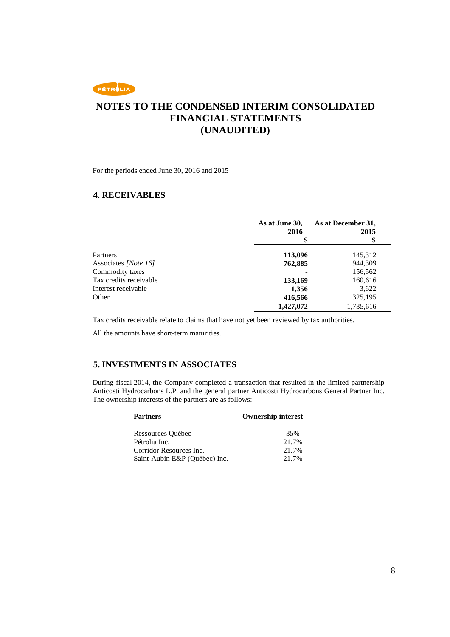

For the periods ended June 30, 2016 and 2015

#### **4. RECEIVABLES**

|                        | As at June 30,<br>2016 | As at December 31,<br>2015 |
|------------------------|------------------------|----------------------------|
|                        |                        | \$                         |
| <b>Partners</b>        | 113,096                | 145,312                    |
| Associates [Note 16]   | 762,885                | 944,309                    |
| Commodity taxes        |                        | 156,562                    |
| Tax credits receivable | 133,169                | 160,616                    |
| Interest receivable    | 1,356                  | 3,622                      |
| Other                  | 416,566                | 325,195                    |
|                        | 1,427,072              | 1,735,616                  |

Tax credits receivable relate to claims that have not yet been reviewed by tax authorities.

All the amounts have short-term maturities.

#### **5. INVESTMENTS IN ASSOCIATES**

During fiscal 2014, the Company completed a transaction that resulted in the limited partnership Anticosti Hydrocarbons L.P. and the general partner Anticosti Hydrocarbons General Partner Inc. The ownership interests of the partners are as follows:

| <b>Partners</b>               | <b>Ownership interest</b> |
|-------------------------------|---------------------------|
| Ressources Québec             | 35%                       |
| Pétrolia Inc.                 | 21.7%                     |
| Corridor Resources Inc.       | 21.7%                     |
| Saint-Aubin E&P (Québec) Inc. | 21.7%                     |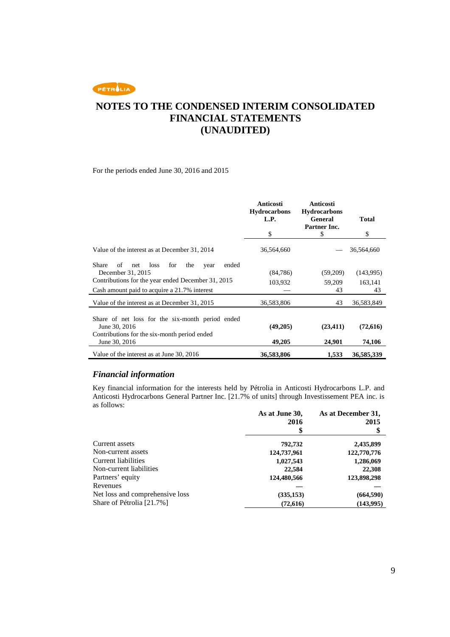# **NOTES TO THE CONDENSED INTERIM CONSOLIDATED FINANCIAL STATEMENTS (UNAUDITED)**

For the periods ended June 30, 2016 and 2015

|                                                           | Anticosti<br><b>Hydrocarbons</b><br>L.P.<br>\$ | Anticosti<br><b>Hydrocarbons</b><br>General<br>Partner Inc.<br>\$ | <b>Total</b><br>\$ |
|-----------------------------------------------------------|------------------------------------------------|-------------------------------------------------------------------|--------------------|
|                                                           |                                                |                                                                   |                    |
| Value of the interest as at December 31, 2014             | 36,564,660                                     |                                                                   | 36,564,660         |
| Share<br>for<br>ended<br>of<br>loss<br>the<br>net<br>year |                                                |                                                                   |                    |
| December 31, 2015                                         | (84,786)                                       | (59,209)                                                          | (143,995)          |
| Contributions for the year ended December 31, 2015        |                                                |                                                                   |                    |
|                                                           | 103,932                                        | 59,209                                                            | 163,141            |
| Cash amount paid to acquire a 21.7% interest              |                                                | 43                                                                | 43                 |
| Value of the interest as at December 31, 2015             | 36,583,806                                     | 43                                                                | 36,583,849         |
| Share of net loss for the six-month period ended          |                                                |                                                                   |                    |
| June 30, 2016                                             | (49,205)                                       | (23, 411)                                                         | (72,616)           |
| Contributions for the six-month period ended              |                                                |                                                                   |                    |
| June 30, 2016                                             | 49,205                                         | 24,901                                                            | 74,106             |
| Value of the interest as at June 30, 2016                 | 36,583,806                                     | 1.533                                                             | 36,585,339         |

#### *Financial information*

Key financial information for the interests held by Pétrolia in Anticosti Hydrocarbons L.P. and Anticosti Hydrocarbons General Partner Inc. [21.7% of units] through Investissement PEA inc. is as follows:

|                                 | As at June 30, | As at December 31, |
|---------------------------------|----------------|--------------------|
|                                 | 2016           | 2015               |
|                                 |                | \$                 |
| Current assets                  | 792,732        | 2,435,899          |
| Non-current assets              | 124,737,961    | 122,770,776        |
| Current liabilities             | 1,027,543      | 1,286,069          |
| Non-current liabilities         | 22,584         | 22,308             |
| Partners' equity                | 124,480,566    | 123,898,298        |
| Revenues                        |                |                    |
| Net loss and comprehensive loss | (335, 153)     | (664,590)          |
| Share of Pétrolia [21.7%]       | (72, 616)      | (143,995)          |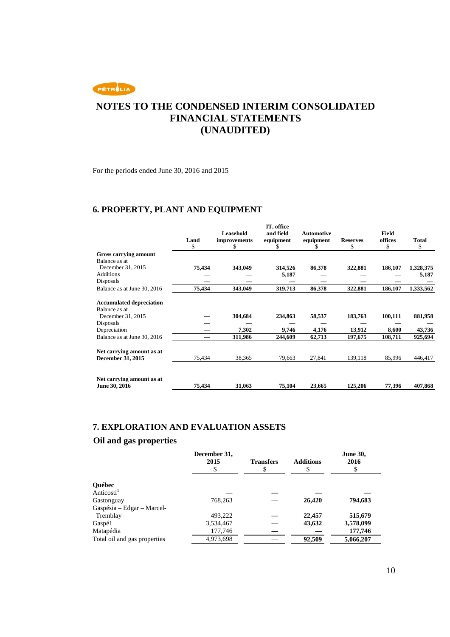

For the periods ended June 30, 2016 and 2015

### **6. PROPERTY, PLANT AND EQUIPMENT**

|                                 | Land<br>S | Leasehold<br>improvements<br>S. | IT, office<br>and field<br>equipment | <b>Automotive</b><br>equipment | <b>Reserves</b><br>S | Field<br>offices<br>\$ | <b>Total</b><br>\$ |
|---------------------------------|-----------|---------------------------------|--------------------------------------|--------------------------------|----------------------|------------------------|--------------------|
| Gross carrying amount           |           |                                 |                                      |                                |                      |                        |                    |
| Balance as at                   |           |                                 |                                      |                                |                      |                        |                    |
| December 31, 2015               | 75,434    | 343,049                         | 314,526                              | 86,378                         | 322,881              | 186,107                | 1,328,375          |
| <b>Additions</b>                |           |                                 | 5,187                                |                                |                      |                        | 5,187              |
| Disposals                       |           |                                 |                                      |                                |                      |                        |                    |
| Balance as at June 30, 2016     | 75,434    | 343,049                         | 319,713                              | 86,378                         | 322,881              | 186,107                | 1,333,562          |
| <b>Accumulated depreciation</b> |           |                                 |                                      |                                |                      |                        |                    |
| Balance as at                   |           |                                 |                                      |                                |                      |                        |                    |
| December 31, 2015               |           | 304,684                         | 234,863                              | 58,537                         | 183,763              | 100,111                | 881,958            |
| <b>Disposals</b>                |           |                                 |                                      |                                |                      |                        |                    |
| Depreciation                    |           | 7,302                           | 9,746                                | 4,176                          | 13,912               | 8,600                  | 43,736             |
| Balance as at June 30, 2016     |           | 311,986                         | 244,609                              | 62,713                         | 197,675              | 108,711                | 925,694            |
| Net carrying amount as at       |           |                                 |                                      |                                |                      |                        |                    |
| <b>December 31, 2015</b>        | 75,434    | 38,365                          | 79,663                               | 27,841                         | 139,118              | 85,996                 | 446,417            |
| Net carrying amount as at       |           |                                 |                                      |                                |                      |                        |                    |
| June 30, 2016                   | 75,434    | 31,063                          | 75,104                               | 23,665                         | 125,206              | 77,396                 | 407,868            |

#### **7. EXPLORATION AND EVALUATION ASSETS**

#### **Oil and gas properties**

|                              | December 31,<br>2015 | <b>Transfers</b> | <b>Additions</b><br>S | <b>June 30,</b><br>2016<br>\$ |
|------------------------------|----------------------|------------------|-----------------------|-------------------------------|
| Québec                       |                      |                  |                       |                               |
| Anticosti <sup>1</sup>       |                      |                  |                       |                               |
| Gastonguay                   | 768,263              |                  | 26,420                | 794,683                       |
| Gaspésia – Edgar – Marcel-   |                      |                  |                       |                               |
| Tremblay                     | 493.222              |                  | 22,457                | 515,679                       |
| Gaspé1                       | 3,534,467            |                  | 43,632                | 3,578,099                     |
| Matapédia                    | 177,746              |                  |                       | 177,746                       |
| Total oil and gas properties | 4,973,698            |                  | 92,509                | 5,066,207                     |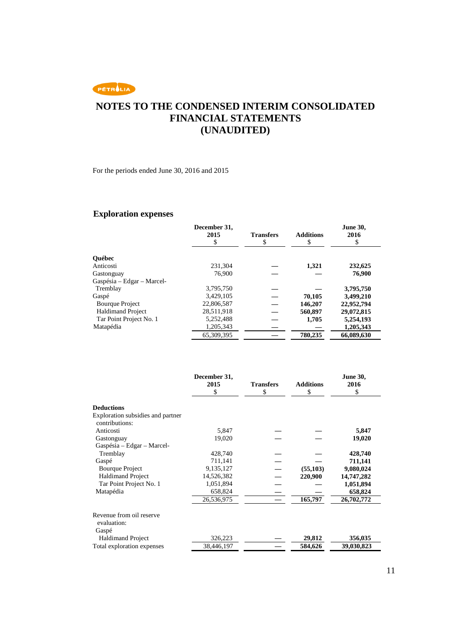# **NOTES TO THE CONDENSED INTERIM CONSOLIDATED FINANCIAL STATEMENTS (UNAUDITED)**

For the periods ended June 30, 2016 and 2015

# **Exploration expenses**

|                            | December 31,<br>2015<br>\$ | <b>Transfers</b><br>\$ | <b>Additions</b><br>\$ | <b>June 30,</b><br>2016<br>\$ |
|----------------------------|----------------------------|------------------------|------------------------|-------------------------------|
| <b>Ouébec</b>              |                            |                        |                        |                               |
| Anticosti                  | 231.304                    |                        | 1,321                  | 232,625                       |
| Gastonguay                 | 76.900                     |                        |                        | 76,900                        |
| Gaspésia – Edgar – Marcel- |                            |                        |                        |                               |
| Tremblay                   | 3,795,750                  |                        |                        | 3,795,750                     |
| Gaspé                      | 3,429,105                  |                        | 70,105                 | 3,499,210                     |
| <b>Bourque Project</b>     | 22,806,587                 |                        | 146,207                | 22,952,794                    |
| <b>Haldimand Project</b>   | 28,511,918                 |                        | 560,897                | 29,072,815                    |
| Tar Point Project No. 1    | 5,252,488                  |                        | 1,705                  | 5,254,193                     |
| Matapédia                  | 1,205,343                  |                        |                        | 1,205,343                     |
|                            | 65,309,395                 |                        | 780,235                | 66,089,630                    |

|                                                  | December 31,<br>2015 | <b>Transfers</b> | <b>Additions</b> | <b>June 30,</b><br>2016 |
|--------------------------------------------------|----------------------|------------------|------------------|-------------------------|
|                                                  | \$                   | \$               | \$               | \$                      |
| <b>Deductions</b>                                |                      |                  |                  |                         |
| Exploration subsidies and partner                |                      |                  |                  |                         |
| contributions:                                   |                      |                  |                  |                         |
| Anticosti                                        | 5,847                |                  |                  | 5,847                   |
| Gastonguay                                       | 19,020               |                  |                  | 19,020                  |
| Gaspésia – Edgar – Marcel-                       |                      |                  |                  |                         |
| Tremblay                                         | 428,740              |                  |                  | 428,740                 |
| Gaspé                                            | 711,141              |                  |                  | 711,141                 |
| <b>Bourque Project</b>                           | 9,135,127            |                  | (55, 103)        | 9,080,024               |
| <b>Haldimand Project</b>                         | 14,526,382           |                  | 220,900          | 14,747,282              |
| Tar Point Project No. 1                          | 1,051,894            |                  |                  | 1,051,894               |
| Matapédia                                        | 658,824              |                  |                  | 658,824                 |
|                                                  | 26,536,975           |                  | 165,797          | 26,702,772              |
| Revenue from oil reserve<br>evaluation:<br>Gaspé |                      |                  |                  |                         |
| <b>Haldimand Project</b>                         | 326,223              |                  | 29,812           | 356,035                 |
| Total exploration expenses                       | 38,446,197           |                  | 584,626          | 39,030,823              |
|                                                  |                      |                  |                  |                         |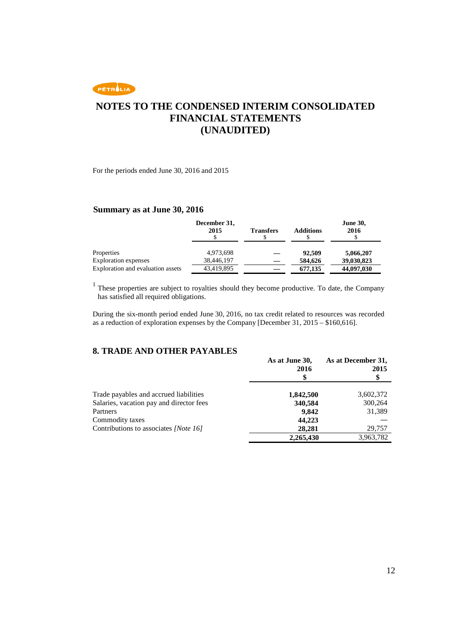

For the periods ended June 30, 2016 and 2015

#### **Summary as at June 30, 2016**

|                                   | December 31,<br>2015 | <b>Transfers</b> | <b>Additions</b> | <b>June 30,</b><br>2016 |
|-----------------------------------|----------------------|------------------|------------------|-------------------------|
| Properties                        | 4,973,698            |                  | 92.509           | 5,066,207               |
| <b>Exploration</b> expenses       | 38,446,197           |                  | 584,626          | 39,030,823              |
| Exploration and evaluation assets | 43,419,895           |                  | 677,135          | 44,097,030              |

<sup>1</sup> These properties are subject to royalties should they become productive. To date, the Company has satisfied all required obligations.

During the six-month period ended June 30, 2016, no tax credit related to resources was recorded as a reduction of exploration expenses by the Company [December 31, 2015 – \$160,616].

#### **8. TRADE AND OTHER PAYABLES**

|                                          | As at June 30,<br>2016 | As at December 31,<br>2015<br>\$ |
|------------------------------------------|------------------------|----------------------------------|
| Trade payables and accrued liabilities   | 1,842,500              | 3,602,372                        |
| Salaries, vacation pay and director fees | 340,584                | 300,264                          |
| Partners                                 | 9,842                  | 31,389                           |
| Commodity taxes                          | 44,223                 |                                  |
| Contributions to associates [Note 16]    | 28,281                 | 29,757                           |
|                                          | 2,265,430              | 3,963,782                        |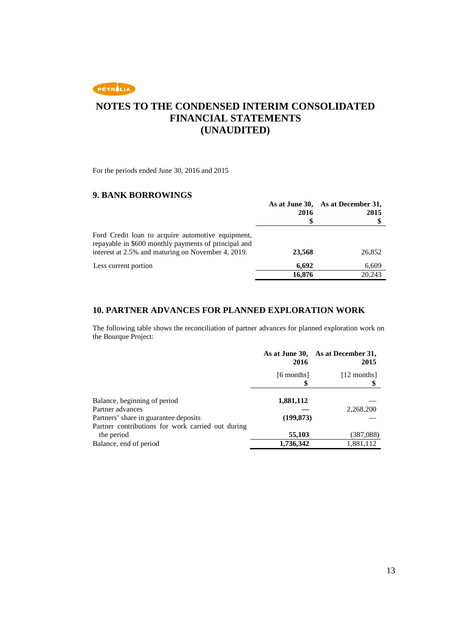

For the periods ended June 30, 2016 and 2015

#### **9. BANK BORROWINGS**

|                                                                                                                                                                 |        | As at June 30, As at December 31, |
|-----------------------------------------------------------------------------------------------------------------------------------------------------------------|--------|-----------------------------------|
|                                                                                                                                                                 | 2016   | 2015                              |
|                                                                                                                                                                 |        | Œ                                 |
| Ford Credit loan to acquire automotive equipment,<br>repayable in \$600 monthly payments of principal and<br>interest at 2.5% and maturing on November 4, 2019. | 23,568 | 26,852                            |
| Less current portion                                                                                                                                            | 6,692  | 6,609                             |
|                                                                                                                                                                 | 16,876 | 20.243                            |

#### **10. PARTNER ADVANCES FOR PLANNED EXPLORATION WORK**

The following table shows the reconciliation of partner advances for planned exploration work on the Bourque Project:

|                                                                 | 2016             | As at June 30, As at December 31,<br>2015 |
|-----------------------------------------------------------------|------------------|-------------------------------------------|
|                                                                 | [6 months]<br>\$ | [12 months]                               |
| Balance, beginning of period                                    | 1,881,112        |                                           |
| Partner advances<br>Partners' share in guarantee deposits       | (199, 873)       | 2,268,200                                 |
| Partner contributions for work carried out during<br>the period | 55,103           | (387,088)                                 |
| Balance, end of period                                          | 1,736,342        | 1,881,112                                 |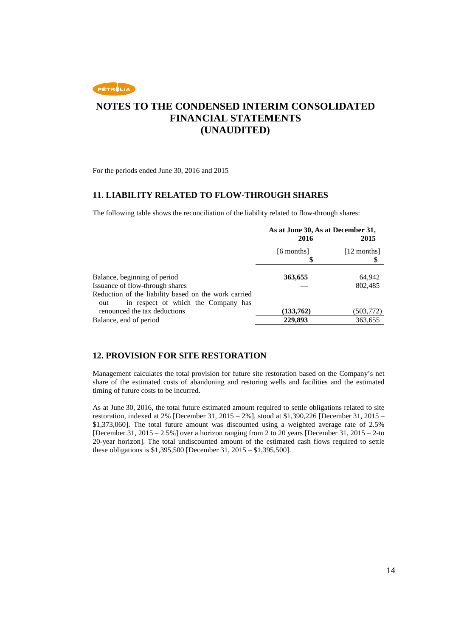

For the periods ended June 30, 2016 and 2015

#### **11. LIABILITY RELATED TO FLOW-THROUGH SHARES**

The following table shows the reconciliation of the liability related to flow-through shares:

|                                                      | As at June 30, As at December 31, |             |
|------------------------------------------------------|-----------------------------------|-------------|
|                                                      | 2016                              | 2015        |
|                                                      | [6 months]                        | [12 months] |
|                                                      | 5                                 |             |
|                                                      |                                   |             |
| Balance, beginning of period                         | 363,655                           | 64,942      |
| Issuance of flow-through shares                      |                                   | 802,485     |
| Reduction of the liability based on the work carried |                                   |             |
| in respect of which the Company has<br>out           |                                   |             |
| renounced the tax deductions                         | (133,762)                         | (503, 772)  |
| Balance, end of period                               | 229,893                           | 363,655     |

#### **12. PROVISION FOR SITE RESTORATION**

Management calculates the total provision for future site restoration based on the Company's net share of the estimated costs of abandoning and restoring wells and facilities and the estimated timing of future costs to be incurred.

As at June 30, 2016, the total future estimated amount required to settle obligations related to site restoration, indexed at 2% [December 31, 2015 – 2%], stood at \$1,390,226 [December 31, 2015 – \$1,373,060]. The total future amount was discounted using a weighted average rate of 2.5% [December 31, 2015 – 2.5%] over a horizon ranging from 2 to 20 years [December 31, 2015 – 2-to 20-year horizon]. The total undiscounted amount of the estimated cash flows required to settle these obligations is \$1,395,500 [December 31, 2015 – \$1,395,500].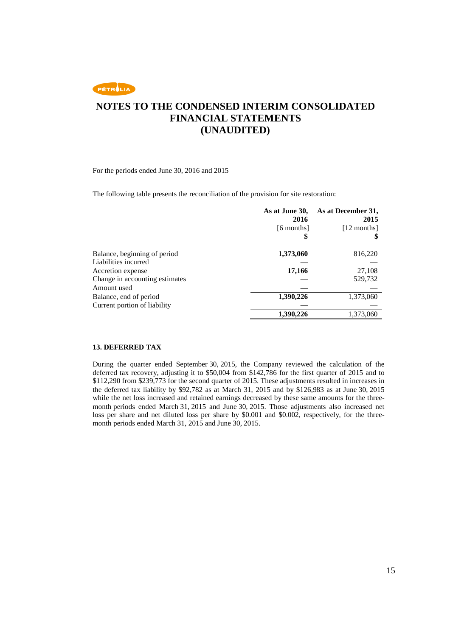

For the periods ended June 30, 2016 and 2015

The following table presents the reconciliation of the provision for site restoration:

|                                | As at June 30,<br>2016 | As at December 31,<br>2015 |
|--------------------------------|------------------------|----------------------------|
|                                | [6 months]             | [12 months]                |
|                                |                        |                            |
|                                |                        |                            |
| Balance, beginning of period   | 1,373,060              | 816,220                    |
| Liabilities incurred           |                        |                            |
| Accretion expense              | 17,166                 | 27,108                     |
| Change in accounting estimates |                        | 529,732                    |
| Amount used                    |                        |                            |
| Balance, end of period         | 1,390,226              | 1,373,060                  |
| Current portion of liability   |                        |                            |
|                                | 1,390,226              | 1,373,060                  |

#### **13. DEFERRED TAX**

During the quarter ended September 30, 2015, the Company reviewed the calculation of the deferred tax recovery, adjusting it to \$50,004 from \$142,786 for the first quarter of 2015 and to \$112,290 from \$239,773 for the second quarter of 2015. These adjustments resulted in increases in the deferred tax liability by \$92,782 as at March 31, 2015 and by \$126,983 as at June 30, 2015 while the net loss increased and retained earnings decreased by these same amounts for the threemonth periods ended March 31, 2015 and June 30, 2015. Those adjustments also increased net loss per share and net diluted loss per share by \$0.001 and \$0.002, respectively, for the threemonth periods ended March 31, 2015 and June 30, 2015.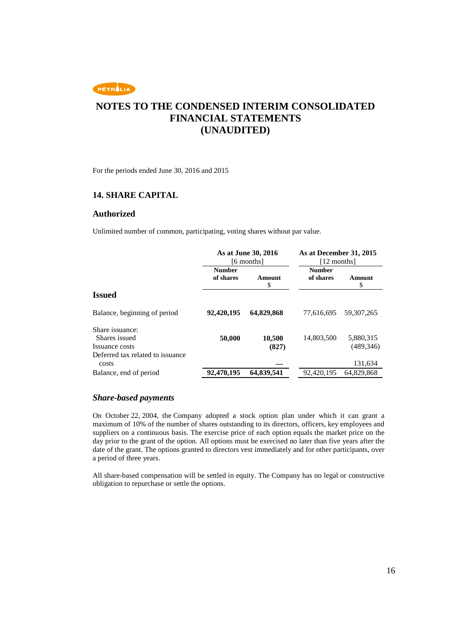## **NOTES TO THE CONDENSED INTERIM CONSOLIDATED FINANCIAL STATEMENTS (UNAUDITED)**

For the periods ended June 30, 2016 and 2015

#### **14. SHARE CAPITAL**

#### **Authorized**

Unlimited number of common, participating, voting shares without par value.

|                                                                                        |                            | As at June 30, 2016<br>[6 months] | As at December 31, 2015<br>[12 months] |                         |
|----------------------------------------------------------------------------------------|----------------------------|-----------------------------------|----------------------------------------|-------------------------|
|                                                                                        | <b>Number</b><br>of shares | Amount<br>\$                      | <b>Number</b><br>of shares             | Amount<br>\$            |
| <b>Issued</b>                                                                          |                            |                                   |                                        |                         |
| Balance, beginning of period                                                           | 92,420,195                 | 64,829,868                        | 77.616.695                             | 59.307.265              |
| Share issuance:<br>Shares issued<br>Issuance costs<br>Deferred tax related to issuance | 50,000                     | 10,500<br>(827)                   | 14,803,500                             | 5,880,315<br>(489, 346) |
| costs                                                                                  |                            |                                   |                                        | 131,634                 |
| Balance, end of period                                                                 | 92,470,195                 | 64,839,541                        | 92,420,195                             | 64,829,868              |

#### *Share-based payments*

On October 22, 2004, the Company adopted a stock option plan under which it can grant a maximum of 10% of the number of shares outstanding to its directors, officers, key employees and suppliers on a continuous basis. The exercise price of each option equals the market price on the day prior to the grant of the option. All options must be exercised no later than five years after the date of the grant. The options granted to directors vest immediately and for other participants, over a period of three years.

All share-based compensation will be settled in equity. The Company has no legal or constructive obligation to repurchase or settle the options.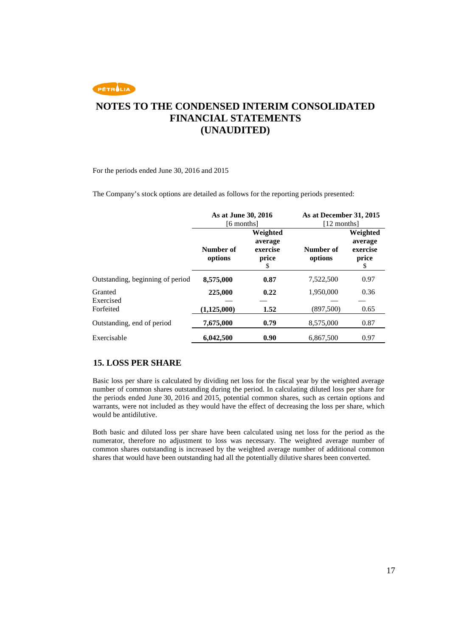

For the periods ended June 30, 2016 and 2015

The Company's stock options are detailed as follows for the reporting periods presented:

|                                  | As at June 30, 2016<br>[6 months] |                                                | As at December 31, 2015<br>[12 months] |                                                |
|----------------------------------|-----------------------------------|------------------------------------------------|----------------------------------------|------------------------------------------------|
|                                  | Number of<br>options              | Weighted<br>average<br>exercise<br>price<br>\$ | Number of<br>options                   | Weighted<br>average<br>exercise<br>price<br>\$ |
| Outstanding, beginning of period | 8,575,000                         | 0.87                                           | 7,522,500                              | 0.97                                           |
| Granted<br>Exercised             | 225,000                           | 0.22                                           | 1,950,000                              | 0.36                                           |
| Forfeited                        | (1,125,000)                       | 1.52                                           | (897,500)                              | 0.65                                           |
| Outstanding, end of period       | 7,675,000                         | 0.79                                           | 8,575,000                              | 0.87                                           |
| Exercisable                      | 6.042.500                         | 0.90                                           | 6,867,500                              | 0.97                                           |

#### **15. LOSS PER SHARE**

Basic loss per share is calculated by dividing net loss for the fiscal year by the weighted average number of common shares outstanding during the period. In calculating diluted loss per share for the periods ended June 30, 2016 and 2015, potential common shares, such as certain options and warrants, were not included as they would have the effect of decreasing the loss per share, which would be antidilutive.

Both basic and diluted loss per share have been calculated using net loss for the period as the numerator, therefore no adjustment to loss was necessary. The weighted average number of common shares outstanding is increased by the weighted average number of additional common shares that would have been outstanding had all the potentially dilutive shares been converted.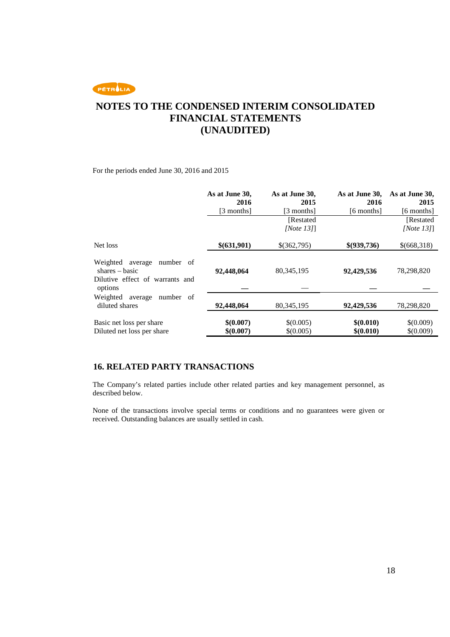# **NOTES TO THE CONDENSED INTERIM CONSOLIDATED FINANCIAL STATEMENTS (UNAUDITED)**

For the periods ended June 30, 2016 and 2015

|                                                    | As at June 30,<br>2016 | As at June 30,<br>2015 | As at June 30,<br>2016 | As at June 30,<br>2015 |
|----------------------------------------------------|------------------------|------------------------|------------------------|------------------------|
|                                                    | [3 months]             | [3 months]             | [6 months]             | [6 months]             |
|                                                    |                        | [Restated]             |                        | [Restated]             |
|                                                    |                        | [Note $13$ ]]          |                        | [Note $13$ ]]          |
| Net loss                                           | \$(631,901)            | \$(362,795)            | \$(939,736)            | \$(668,318)            |
| Weighted average<br>number of<br>$shares - basic$  | 92,448,064             | 80, 345, 195           | 92,429,536             | 78,298,820             |
| Dilutive effect of warrants and<br>options         |                        |                        |                        |                        |
| Weighted<br>number of<br>average<br>diluted shares | 92,448,064             | 80, 345, 195           | 92,429,536             | 78,298,820             |
| Basic net loss per share                           | \$(0.007)              | \$(0.005)              | \$(0.010)              | \$(0.009)              |
| Diluted net loss per share                         | \$(0.007)              | \$(0.005)              | \$(0.010)              | \$(0.009)              |

#### **16. RELATED PARTY TRANSACTIONS**

The Company's related parties include other related parties and key management personnel, as described below.

None of the transactions involve special terms or conditions and no guarantees were given or received. Outstanding balances are usually settled in cash.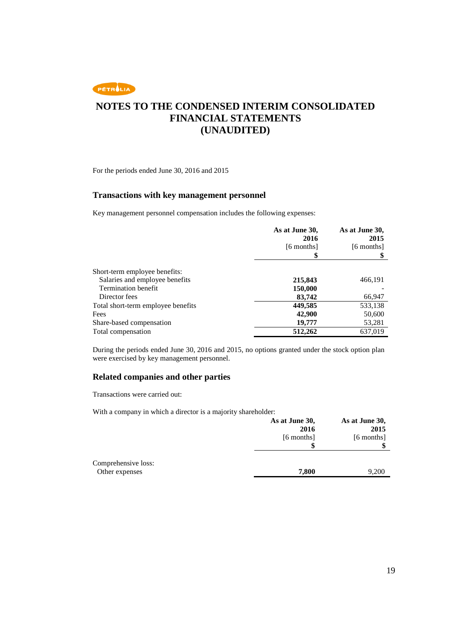

For the periods ended June 30, 2016 and 2015

#### **Transactions with key management personnel**

Key management personnel compensation includes the following expenses:

|                                    | As at June 30,<br>2016 | As at June 30,<br>2015 |
|------------------------------------|------------------------|------------------------|
|                                    | [6 months]             | [6 months]             |
|                                    | \$                     |                        |
| Short-term employee benefits:      |                        |                        |
| Salaries and employee benefits     | 215,843                | 466,191                |
| <b>Termination benefit</b>         | 150,000                |                        |
| Director fees                      | 83,742                 | 66,947                 |
| Total short-term employee benefits | 449,585                | 533,138                |
| Fees                               | 42,900                 | 50,600                 |
| Share-based compensation           | 19,777                 | 53,281                 |
| Total compensation                 | 512,262                | 637,019                |

During the periods ended June 30, 2016 and 2015, no options granted under the stock option plan were exercised by key management personnel.

#### **Related companies and other parties**

Transactions were carried out:

With a company in which a director is a majority shareholder:

|                     | As at June 30,<br>2016 | As at June 30,<br>2015 |
|---------------------|------------------------|------------------------|
|                     | $[6$ months $]$        | [6 months]             |
|                     |                        |                        |
|                     |                        |                        |
| Comprehensive loss: |                        |                        |
| Other expenses      | 7,800                  | 9,200                  |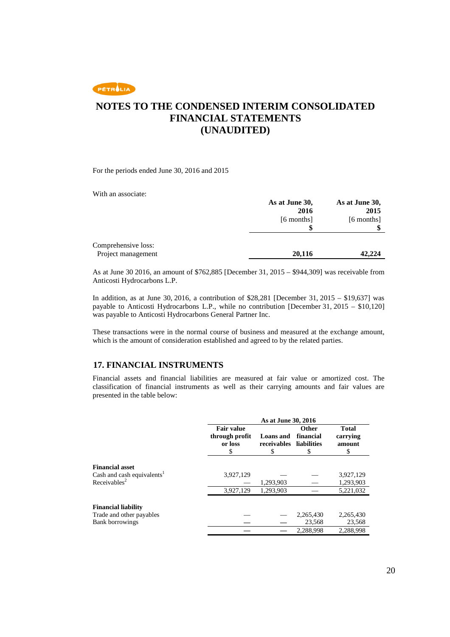### **NOTES TO THE CONDENSED INTERIM CONSOLIDATED FINANCIAL STATEMENTS (UNAUDITED)**

For the periods ended June 30, 2016 and 2015

With an associate:

|                     | As at June 30,  | As at June 30,  |
|---------------------|-----------------|-----------------|
|                     | 2016            | 2015            |
|                     | $[6$ months $]$ | $[6$ months $]$ |
|                     |                 |                 |
|                     |                 |                 |
| Comprehensive loss: |                 |                 |
| Project management  | 20,116          | 42,224          |

As at June 30 2016, an amount of \$762,885 [December 31, 2015 – \$944,309] was receivable from Anticosti Hydrocarbons L.P.

In addition, as at June 30, 2016, a contribution of \$28,281 [December 31, 2015 – \$19,637] was payable to Anticosti Hydrocarbons L.P., while no contribution [December 31, 2015 – \$10,120] was payable to Anticosti Hydrocarbons General Partner Inc.

These transactions were in the normal course of business and measured at the exchange amount, which is the amount of consideration established and agreed to by the related parties.

#### **17. FINANCIAL INSTRUMENTS**

Financial assets and financial liabilities are measured at fair value or amortized cost. The classification of financial instruments as well as their carrying amounts and fair values are presented in the table below:

|                                                                                              | As at June 30, 2016                            |                                      |                                        |                                         |
|----------------------------------------------------------------------------------------------|------------------------------------------------|--------------------------------------|----------------------------------------|-----------------------------------------|
|                                                                                              | <b>Fair value</b><br>through profit<br>or loss | <b>Loans</b> and<br>receivables<br>S | Other<br>financial<br>liabilities<br>S | <b>Total</b><br>carrying<br>amount<br>S |
| <b>Financial asset</b><br>Cash and cash equivalents <sup>1</sup><br>Receivables <sup>2</sup> | 3,927,129                                      | 1,293,903                            |                                        | 3,927,129<br>1,293,903                  |
|                                                                                              | 3,927,129                                      | 1,293,903                            |                                        | 5,221,032                               |
| <b>Financial liability</b><br>Trade and other payables<br><b>Bank borrowings</b>             |                                                |                                      | 2,265,430<br>23,568                    | 2,265,430<br>23,568                     |
|                                                                                              |                                                |                                      | 2,288,998                              | 2,288,998                               |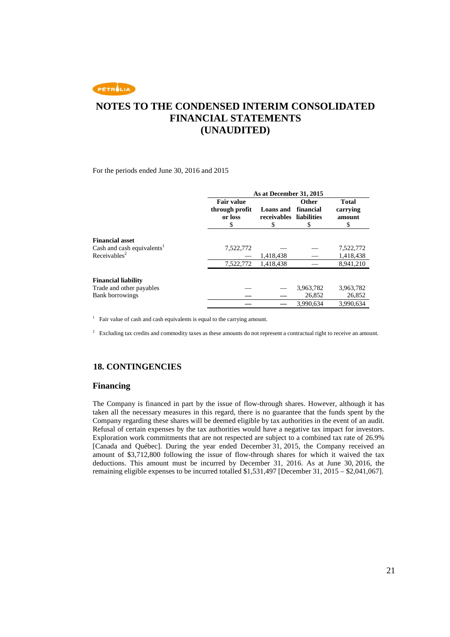### **NOTES TO THE CONDENSED INTERIM CONSOLIDATED FINANCIAL STATEMENTS (UNAUDITED)**

For the periods ended June 30, 2016 and 2015

|                                        | As at December 31, 2015                             |                                      |                                               |                                         |
|----------------------------------------|-----------------------------------------------------|--------------------------------------|-----------------------------------------------|-----------------------------------------|
|                                        | <b>Fair value</b><br>through profit<br>or loss<br>S | <b>Loans</b> and<br>receivables<br>S | <b>Other</b><br>financial<br>liabilities<br>S | <b>Total</b><br>carrying<br>amount<br>S |
|                                        |                                                     |                                      |                                               |                                         |
| <b>Financial asset</b>                 |                                                     |                                      |                                               |                                         |
| Cash and cash equivalents <sup>1</sup> | 7,522,772                                           |                                      |                                               | 7,522,772                               |
| Receivables <sup>2</sup>               |                                                     | 1,418,438                            |                                               | 1,418,438                               |
|                                        | 7,522,772                                           | 1,418,438                            |                                               | 8.941.210                               |
| <b>Financial liability</b>             |                                                     |                                      |                                               |                                         |
| Trade and other payables               |                                                     |                                      | 3,963,782                                     | 3,963,782                               |
| <b>Bank borrowings</b>                 |                                                     |                                      | 26,852                                        | 26,852                                  |
|                                        |                                                     |                                      | 3,990,634                                     | 3,990,634                               |

<sup>1</sup> Fair value of cash and cash equivalents is equal to the carrying amount.

<sup>2</sup> Excluding tax credits and commodity taxes as these amounts do not represent a contractual right to receive an amount.

#### **18. CONTINGENCIES**

#### **Financing**

The Company is financed in part by the issue of flow-through shares. However, although it has taken all the necessary measures in this regard, there is no guarantee that the funds spent by the Company regarding these shares will be deemed eligible by tax authorities in the event of an audit. Refusal of certain expenses by the tax authorities would have a negative tax impact for investors. Exploration work commitments that are not respected are subject to a combined tax rate of 26.9% [Canada and Québec]. During the year ended December 31, 2015, the Company received an amount of \$3,712,800 following the issue of flow-through shares for which it waived the tax deductions. This amount must be incurred by December 31, 2016. As at June 30, 2016, the remaining eligible expenses to be incurred totalled \$1,531,497 [December 31, 2015 – \$2,041,067].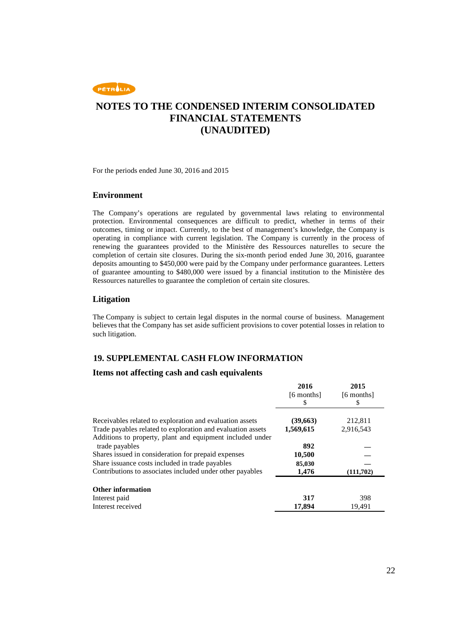

For the periods ended June 30, 2016 and 2015

#### **Environment**

The Company's operations are regulated by governmental laws relating to environmental protection. Environmental consequences are difficult to predict, whether in terms of their outcomes, timing or impact. Currently, to the best of management's knowledge, the Company is operating in compliance with current legislation. The Company is currently in the process of renewing the guarantees provided to the Ministère des Ressources naturelles to secure the completion of certain site closures. During the six-month period ended June 30, 2016, guarantee deposits amounting to \$450,000 were paid by the Company under performance guarantees. Letters of guarantee amounting to \$480,000 were issued by a financial institution to the Ministère des Ressources naturelles to guarantee the completion of certain site closures.

#### **Litigation**

The Company is subject to certain legal disputes in the normal course of business. Management believes that the Company has set aside sufficient provisions to cover potential losses in relation to such litigation.

#### **19. SUPPLEMENTAL CASH FLOW INFORMATION**

#### **Items not affecting cash and cash equivalents**

|                                                                                                                                            | 2016<br>[6 months]<br>S | 2015<br>[6 months]<br>S |
|--------------------------------------------------------------------------------------------------------------------------------------------|-------------------------|-------------------------|
| Receivables related to exploration and evaluation assets                                                                                   | (39,663)                | 212,811                 |
| Trade payables related to exploration and evaluation assets<br>Additions to property, plant and equipment included under<br>trade payables | 1,569,615<br>892        | 2,916,543               |
| Shares issued in consideration for prepaid expenses                                                                                        | 10,500                  |                         |
| Share issuance costs included in trade payables<br>Contributions to associates included under other payables                               | 85,030<br>1,476         | (111,702)               |
| <b>Other information</b>                                                                                                                   | 317                     | 398                     |
| Interest paid<br>Interest received                                                                                                         | 17,894                  | 19.491                  |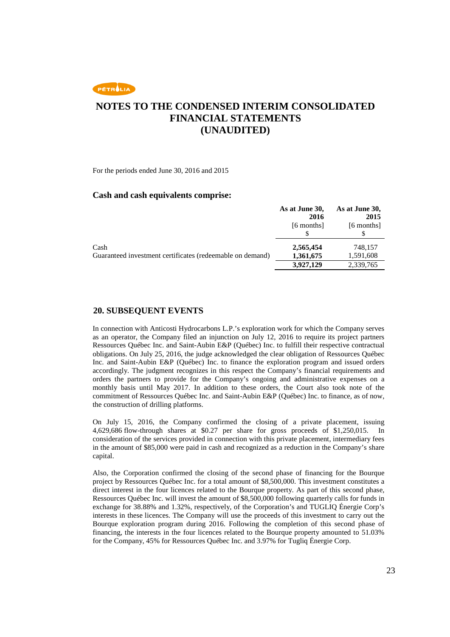### **NOTES TO THE CONDENSED INTERIM CONSOLIDATED FINANCIAL STATEMENTS (UNAUDITED)**

For the periods ended June 30, 2016 and 2015

#### **Cash and cash equivalents comprise:**

|                                                           | As at June 30, | As at June 30, |
|-----------------------------------------------------------|----------------|----------------|
|                                                           | 2016           | 2015           |
|                                                           | [6 months]     | [6 months]     |
|                                                           |                |                |
| Cash                                                      | 2,565,454      | 748.157        |
| Guaranteed investment certificates (redeemable on demand) | 1,361,675      | 1,591,608      |
|                                                           | 3,927,129      | 2,339,765      |

#### **20. SUBSEQUENT EVENTS**

In connection with Anticosti Hydrocarbons L.P.'s exploration work for which the Company serves as an operator, the Company filed an injunction on July 12, 2016 to require its project partners Ressources Québec Inc. and Saint-Aubin E&P (Québec) Inc. to fulfill their respective contractual obligations. On July 25, 2016, the judge acknowledged the clear obligation of Ressources Québec Inc. and Saint-Aubin E&P (Québec) Inc. to finance the exploration program and issued orders accordingly. The judgment recognizes in this respect the Company's financial requirements and orders the partners to provide for the Company's ongoing and administrative expenses on a monthly basis until May 2017. In addition to these orders, the Court also took note of the commitment of Ressources Québec Inc. and Saint-Aubin E&P (Québec) Inc. to finance, as of now, the construction of drilling platforms.

On July 15, 2016, the Company confirmed the closing of a private placement, issuing 4,629,686 flow-through shares at \$0.27 per share for gross proceeds of \$1,250,015. In consideration of the services provided in connection with this private placement, intermediary fees in the amount of \$85,000 were paid in cash and recognized as a reduction in the Company's share capital.

Also, the Corporation confirmed the closing of the second phase of financing for the Bourque project by Ressources Québec Inc. for a total amount of \$8,500,000. This investment constitutes a direct interest in the four licences related to the Bourque property. As part of this second phase, Ressources Québec Inc. will invest the amount of \$8,500,000 following quarterly calls for funds in exchange for 38.88% and 1.32%, respectively, of the Corporation's and TUGLIQ Énergie Corp's interests in these licences. The Company will use the proceeds of this investment to carry out the Bourque exploration program during 2016. Following the completion of this second phase of financing, the interests in the four licences related to the Bourque property amounted to 51.03% for the Company, 45% for Ressources Québec Inc. and 3.97% for Tugliq Énergie Corp.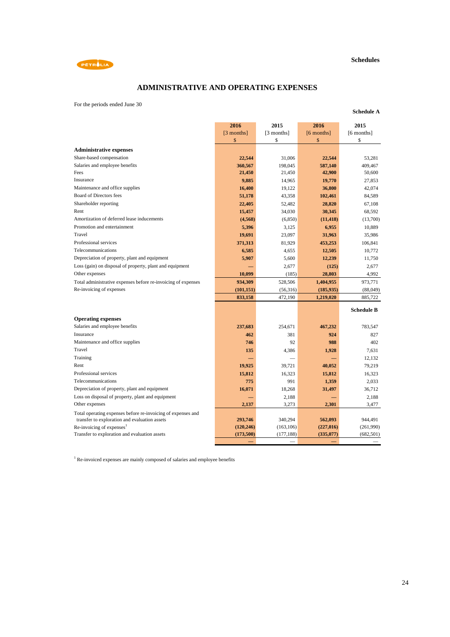

**Schedule A**



### **ADMINISTRATIVE AND OPERATING EXPENSES**

For the periods ended June 30

|                                                               | 2016       | 2015       | 2016       | 2015              |
|---------------------------------------------------------------|------------|------------|------------|-------------------|
|                                                               | [3 months] | [3 months] | [6 months] | [6 months]        |
|                                                               | \$         | \$         | \$         | \$                |
| <b>Administrative expenses</b>                                |            |            |            |                   |
| Share-based compensation                                      | 22,544     | 31,006     | 22,544     | 53,281            |
| Salaries and employee benefits                                | 360,567    | 198,045    | 587,140    | 409,467           |
| Fees                                                          | 21,450     | 21,450     | 42,900     | 50,600            |
| Insurance                                                     | 9,885      | 14,965     | 19,770     | 27,853            |
| Maintenance and office supplies                               | 16,400     | 19,122     | 36,800     | 42,074            |
| Board of Directors fees                                       | 51,178     | 43,358     | 102,461    | 84,589            |
| Shareholder reporting                                         | 22,405     | 52,482     | 28,820     | 67,108            |
| Rent                                                          | 15,457     | 34,030     | 30,345     | 68,592            |
| Amortization of deferred lease inducements                    | (4,568)    | (6,850)    | (11, 418)  | (13,700)          |
| Promotion and entertainment                                   | 5,396      | 3,125      | 6,955      | 10,889            |
| Travel                                                        | 19,691     | 23,097     | 31,963     | 35,986            |
| Professional services                                         | 371,313    | 81,929     | 453,253    | 106,841           |
| Telecommunications                                            | 6,585      | 4,655      | 12,505     | 10,772            |
| Depreciation of property, plant and equipment                 | 5,907      | 5,600      | 12,239     | 11,750            |
| Loss (gain) on disposal of property, plant and equipment      |            | 2,677      | (125)      | 2,677             |
| Other expenses                                                | 10,099     | (185)      | 28,803     | 4,992             |
| Total administrative expenses before re-invoicing of expenses | 934,309    | 528,506    | 1,404,955  | 973,771           |
| Re-invoicing of expenses                                      | (101, 151) | (56,316)   | (185, 935) | (88,049)          |
|                                                               | 833,158    | 472,190    | 1,219,020  | 885,722           |
|                                                               |            |            |            |                   |
|                                                               |            |            |            | <b>Schedule B</b> |
| <b>Operating expenses</b>                                     |            |            |            |                   |
| Salaries and employee benefits                                | 237,683    | 254,671    | 467,232    | 783,547           |
| Insurance                                                     | 462        | 381        | 924        | 827               |
| Maintenance and office supplies                               | 746        | 92         | 988        | 402               |
| Travel                                                        | 135        | 4,386      | 1,928      | 7,631             |
| Training                                                      |            |            |            | 12,132            |
| Rent                                                          | 19,925     | 39,721     | 40,052     | 79,219            |
| Professional services                                         | 15,812     | 16.323     | 15,812     | 16,323            |
| Telecommunications                                            | 775        | 991        | 1,359      | 2.033             |
| Depreciation of property, plant and equipment                 | 16,071     | 18,268     | 31,497     | 36.712            |
| Loss on disposal of property, plant and equipment             | -          | 2,188      |            | 2,188             |
| Other expenses                                                | 2,137      | 3,273      | 2,301      | 3,477             |
| Total operating expenses before re-invoicing of expenses and  |            |            |            |                   |
| transfer to exploration and evaluation assets                 | 293,746    | 340,294    | 562,093    | 944.491           |
| Re-invoicing of expenses <sup>1</sup>                         | (120, 246) | (163, 106) | (227,016)  | (261,990)         |
| Transfer to exploration and evaluation assets                 | (173,500)  | (177, 188) | (335,077)  | (682, 501)        |
|                                                               |            |            |            |                   |

<sup>1</sup> Re-invoiced expenses are mainly composed of salaries and employee benefits